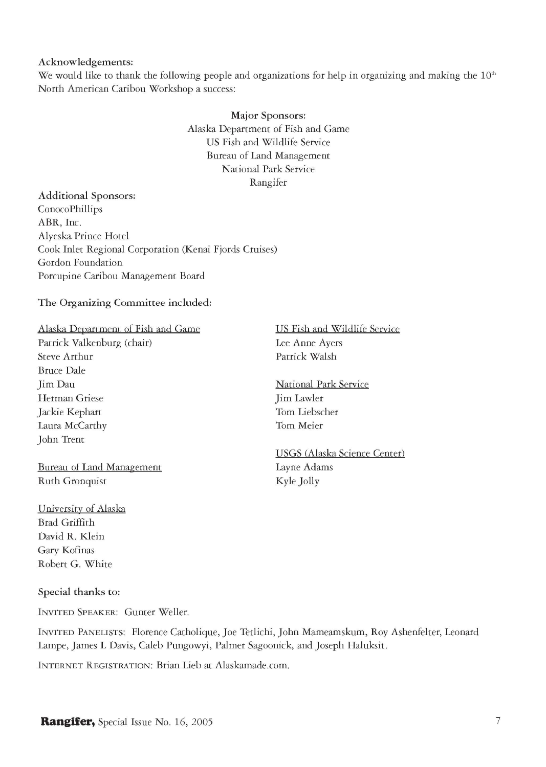## **Acknowledgements:**

We would like to thank the following people and organizations for help in organizing and making the  $10<sup>th</sup>$ North American Caribou Workshop a success:

# **Major Sponsors:**  Alaska Department of Fish and Game US Fish and Wildlife Service Bureau of Land Management National Park Service Rangifer

# **Additional Sponsors:**  ConocoPhillips ABR, Inc. Alyeska Prince Hotel Cook Inlet Regional Corporation (Kenai Fjords Cruises) Gordon Foundation Porcupine Caribou Management Board

## **The Organizing Committee included:**

### Alaska Department of Fish and Game

Patrick Valkenburg (chair) Steve Arthur Bruce Dale **Iim Dau** Herman Griese Jackie Kephart Laura McCarthy John Trent

Bureau of Land Management Ruth Gronquist

University of Alaska Brad Griffith David R. Klein Gary Kofinas Robert G. White

#### **Special thanks to:**

INVITED SPEAKER: Gunter Weller.

INVITE D PANELISTS : Florence Catholique, Joe Tetlichi, John Mameamskum, Roy Ashenfelter, Leonard Lampe, James L Davis, Caleb Pungowyi, Palmer Sagoonick, and Joseph Haluksit.

INTERNET REGISTRATION: Brian Lieb at [Alaskamade.com.](http://Alaskamade.com)

## US Fish and Wildlife Service Lee Anne Ayers Patrick Walsh

# National Park Service Jim Lawler Tom Liebscher Tom Meier

# USGS (Alaska Science Center) Layne Adams Kyle Jolly